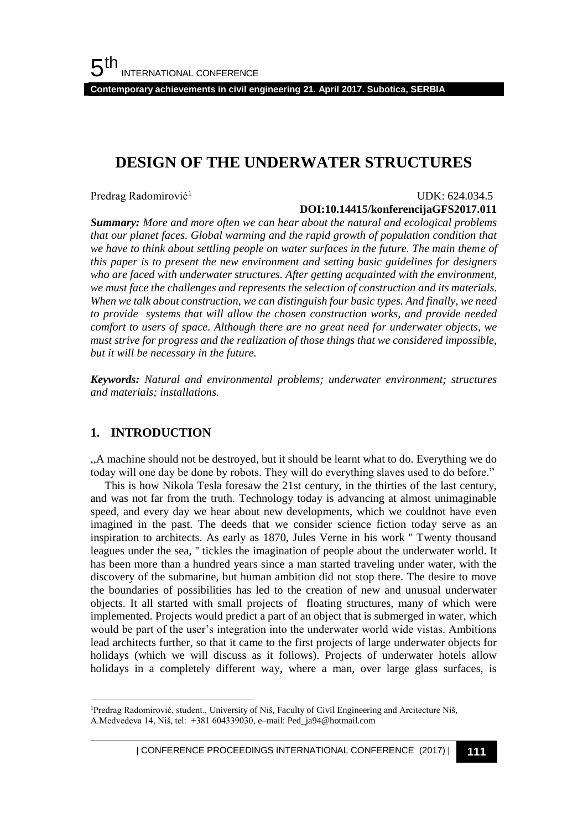**Contemporary achievements in civil engineering 21. April 2017. Subotica, SERBIA**

## **DESIGN OF THE UNDERWATER STRUCTURES**

Predrag Radomirović<sup>1</sup>

#### UDK: 624.034.5

#### **DOI:10.14415/konferencijaGFS2017.011**

*Summary: More and more often we can hear about the natural and ecological problems that our planet faces. Global warming and the rapid growth of population condition that we have to think about settling people on water surfaces in the future. The main theme of this paper is to present the new environment and setting basic guidelines for designers who are faced with underwater structures. After getting acquainted with the environment, we must face the challenges and represents the selection of construction and its materials. When we talk about construction, we can distinguish four basic types. And finally, we need to provide systems that will allow the chosen construction works, and provide needed comfort to users of space. Although there are no great need for underwater objects, we must strive for progress and the realization of those things that we considered impossible, but it will be necessary in the future.*

*Keywords: Natural and environmental problems; underwater environment; structures and materials; installations.*

### **1. INTRODUCTION**

l

,,A machine should not be destroyed, but it should be learnt what to do. Everything we do today will one day be done by robots. They will do everything slaves used to do before."

 This is how Nikola Tesla foresaw the 21st century, in the thirties of the last century, and was not far from the truth. Technology today is advancing at almost unimaginable speed, and every day we hear about new developments, which we couldnot have even imagined in the past. The deeds that we consider science fiction today serve as an inspiration to architects. As early as 1870, Jules Verne in his work '' Twenty thousand leagues under the sea, '' tickles the imagination of people about the underwater world. It has been more than a hundred years since a man started traveling under water, with the discovery of the submarine, but human ambition did not stop there. The desire to move the boundaries of possibilities has led to the creation of new and unusual underwater objects. It all started with small projects of floating structures, many of which were implemented. Projects would predict a part of an object that is submerged in water, which would be part of the user's integration into the underwater world wide vistas. Ambitions lead architects further, so that it came to the first projects of large underwater objects for holidays (which we will discuss as it follows). Projects of underwater hotels allow holidays in a completely different way, where a man, over large glass surfaces, is

<sup>&</sup>lt;sup>1</sup>Predrag Radomirović, student., University of Niš, Faculty of Civil Engineering and Arcitecture Niš, A.Medvedeva 14, Niš, tel: +381 604339030, e–mail: Ped\_ja94@hotmail.com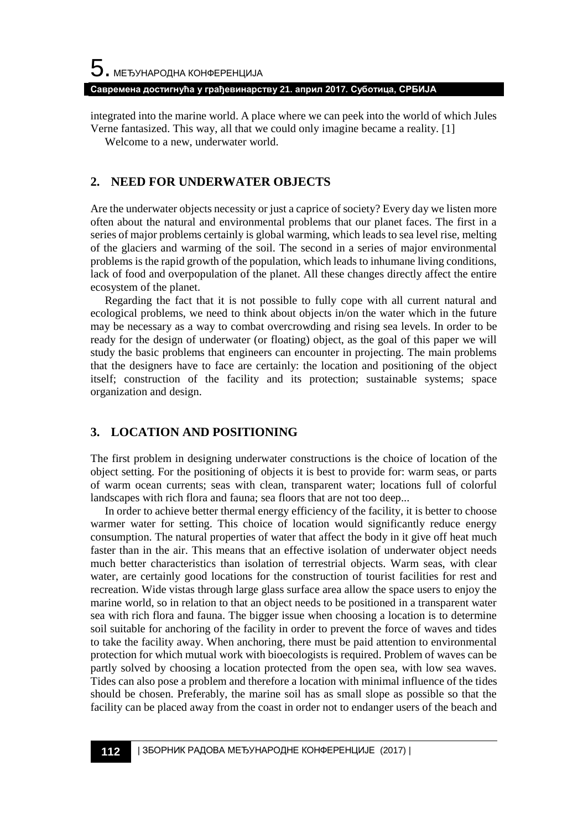### **Савремена достигнућа у грађевинарству 21. април 2017. Суботица, СРБИЈА**

integrated into the marine world. A place where we can peek into the world of which Jules Verne fantasized. This way, all that we could only imagine became a reality. [1]

Welcome to a new, underwater world.

### **2. NEED FOR UNDERWATER OBJECTS**

Are the underwater objects necessity or just a caprice of society? Every day we listen more often about the natural and environmental problems that our planet faces. The first in a series of major problems certainly is global warming, which leads to sea level rise, melting of the glaciers and warming of the soil. The second in a series of major environmental problems is the rapid growth of the population, which leads to inhumane living conditions, lack of food and overpopulation of the planet. All these changes directly affect the entire ecosystem of the planet.

 Regarding the fact that it is not possible to fully cope with all current natural and ecological problems, we need to think about objects in/on the water which in the future may be necessary as a way to combat overcrowding and rising sea levels. In order to be ready for the design of underwater (or floating) object, as the goal of this paper we will study the basic problems that engineers can encounter in projecting. The main problems that the designers have to face are certainly: the location and positioning of the object itself; construction of the facility and its protection; sustainable systems; space organization and design.

### **3. LOCATION AND POSITIONING**

The first problem in designing underwater constructions is the choice of location of the object setting. For the positioning of objects it is best to provide for: warm seas, or parts of warm ocean currents; seas with clean, transparent water; locations full of colorful landscapes with rich flora and fauna; sea floors that are not too deep...

 In order to achieve better thermal energy efficiency of the facility, it is better to choose warmer water for setting. This choice of location would significantly reduce energy consumption. The natural properties of water that affect the body in it give off heat much faster than in the air. This means that an effective isolation of underwater object needs much better characteristics than isolation of terrestrial objects. Warm seas, with clear water, are certainly good locations for the construction of tourist facilities for rest and recreation. Wide vistas through large glass surface area allow the space users to enjoy the marine world, so in relation to that an object needs to be positioned in a transparent water sea with rich flora and fauna. The bigger issue when choosing a location is to determine soil suitable for anchoring of the facility in order to prevent the force of waves and tides to take the facility away. When anchoring, there must be paid attention to environmental protection for which mutual work with bioecologists is required. Problem of waves can be partly solved by choosing a location protected from the open sea, with low sea waves. Tides can also pose a problem and therefore a location with minimal influence of the tides should be chosen. Preferably, the marine soil has as small slope as possible so that the facility can be placed away from the coast in order not to endanger users of the beach and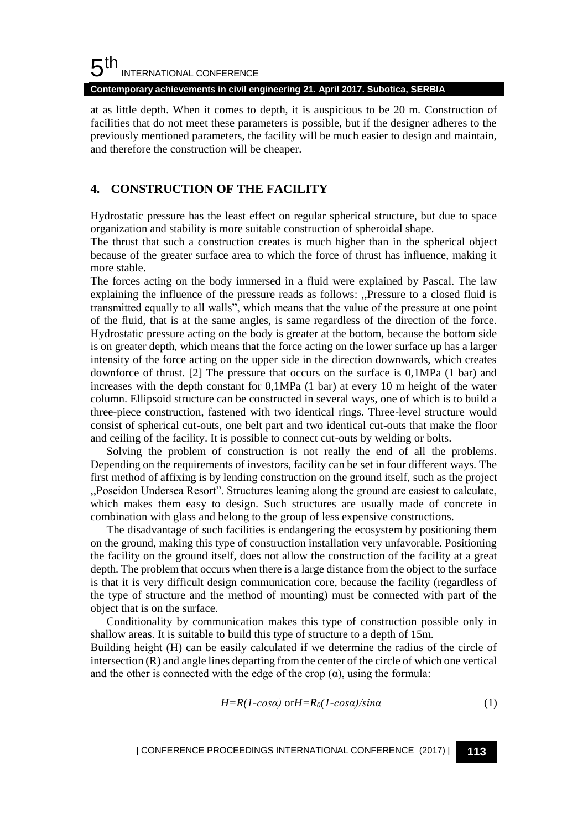**Contemporary achievements in civil engineering 21. April 2017. Subotica, SERBIA**

at as little depth. When it comes to depth, it is auspicious to be 20 m. Construction of facilities that do not meet these parameters is possible, but if the designer adheres to the previously mentioned parameters, the facility will be much easier to design and maintain, and therefore the construction will be cheaper.

### **4. CONSTRUCTION OF THE FACILITY**

Hydrostatic pressure has the least effect on regular spherical structure, but due to space organization and stability is more suitable construction of spheroidal shape.

The thrust that such a construction creates is much higher than in the spherical object because of the greater surface area to which the force of thrust has influence, making it more stable.

The forces acting on the body immersed in a fluid were explained by Pascal. The law explaining the influence of the pressure reads as follows: ,,Pressure to a closed fluid is transmitted equally to all walls", which means that the value of the pressure at one point of the fluid, that is at the same angles, is same regardless of the direction of the force. Hydrostatic pressure acting on the body is greater at the bottom, because the bottom side is on greater depth, which means that the force acting on the lower surface up has a larger intensity of the force acting on the upper side in the direction downwards, which creates downforce of thrust. [2] The pressure that occurs on the surface is 0,1MPa (1 bar) and increases with the depth constant for 0,1MPa (1 bar) at every 10 m height of the water column. Ellipsoid structure can be constructed in several ways, one of which is to build a three-piece construction, fastened with two identical rings. Three-level structure would consist of spherical cut-outs, one belt part and two identical cut-outs that make the floor and ceiling of the facility. It is possible to connect cut-outs by welding or bolts.

Solving the problem of construction is not really the end of all the problems. Depending on the requirements of investors, facility can be set in four different ways. The first method of affixing is by lending construction on the ground itself, such as the project ,,Poseidon Undersea Resort". Structures leaning along the ground are easiest to calculate, which makes them easy to design. Such structures are usually made of concrete in combination with glass and belong to the group of less expensive constructions.

The disadvantage of such facilities is endangering the ecosystem by positioning them on the ground, making this type of construction installation very unfavorable. Positioning the facility on the ground itself, does not allow the construction of the facility at a great depth. The problem that occurs when there is a large distance from the object to the surface is that it is very difficult design communication core, because the facility (regardless of the type of structure and the method of mounting) must be connected with part of the object that is on the surface.

Conditionality by communication makes this type of construction possible only in shallow areas. It is suitable to build this type of structure to a depth of 15m.

Building height (H) can be easily calculated if we determine the radius of the circle of intersection (R) and angle lines departing from the center of the circle of which one vertical and the other is connected with the edge of the crop  $(\alpha)$ , using the formula:

$$
H=R(1-cosa) \text{ or } H=R_0(1-cosa)/sina
$$
 (1)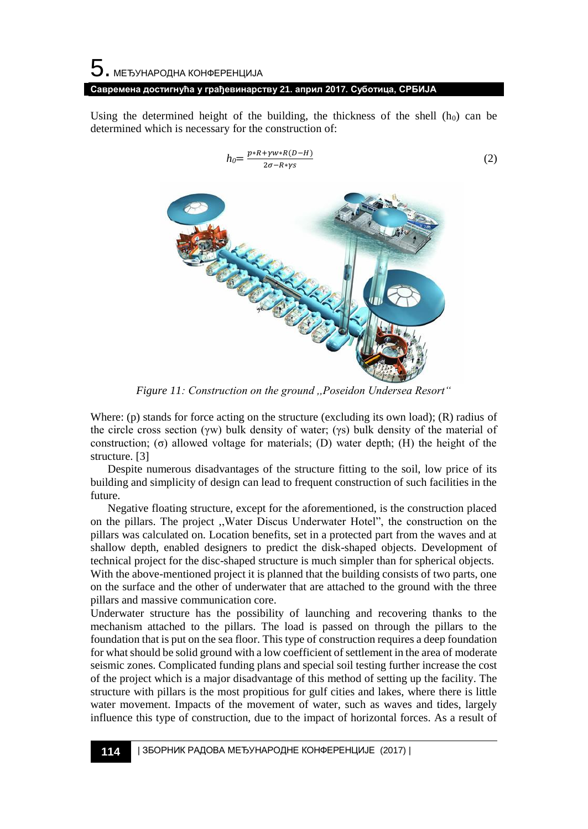# $\mathbf 5$ . међународна конференција **Савремена достигнућа у грађевинарству 21. април 2017. Суботица, СРБИЈА**

Using the determined height of the building, the thickness of the shell  $(h_0)$  can be determined which is necessary for the construction of:

$$
h_0 = \frac{p * R + \gamma w * R(D - H)}{2\sigma - R * \gamma S}
$$
\n(2)

*Figure 11: Construction on the ground ,,Poseidon Undersea Resort"*

Where: (p) stands for force acting on the structure (excluding its own load);  $(R)$  radius of the circle cross section (γw) bulk density of water; (γs) bulk density of the material of construction; (σ) allowed voltage for materials; (D) water depth; (H) the height of the structure. [3]

 Despite numerous disadvantages of the structure fitting to the soil, low price of its building and simplicity of design can lead to frequent construction of such facilities in the future.

 Negative floating structure, except for the aforementioned, is the construction placed on the pillars. The project ,,Water Discus Underwater Hotel", the construction on the pillars was calculated on. Location benefits, set in a protected part from the waves and at shallow depth, enabled designers to predict the disk-shaped objects. Development of technical project for the disc-shaped structure is much simpler than for spherical objects. With the above-mentioned project it is planned that the building consists of two parts, one

on the surface and the other of underwater that are attached to the ground with the three pillars and massive communication core.

Underwater structure has the possibility of launching and recovering thanks to the mechanism attached to the pillars. The load is passed on through the pillars to the foundation that is put on the sea floor. This type of construction requires a deep foundation for what should be solid ground with a low coefficient of settlement in the area of moderate seismic zones. Complicated funding plans and special soil testing further increase the cost of the project which is a major disadvantage of this method of setting up the facility. The structure with pillars is the most propitious for gulf cities and lakes, where there is little water movement. Impacts of the movement of water, such as waves and tides, largely influence this type of construction, due to the impact of horizontal forces. As a result of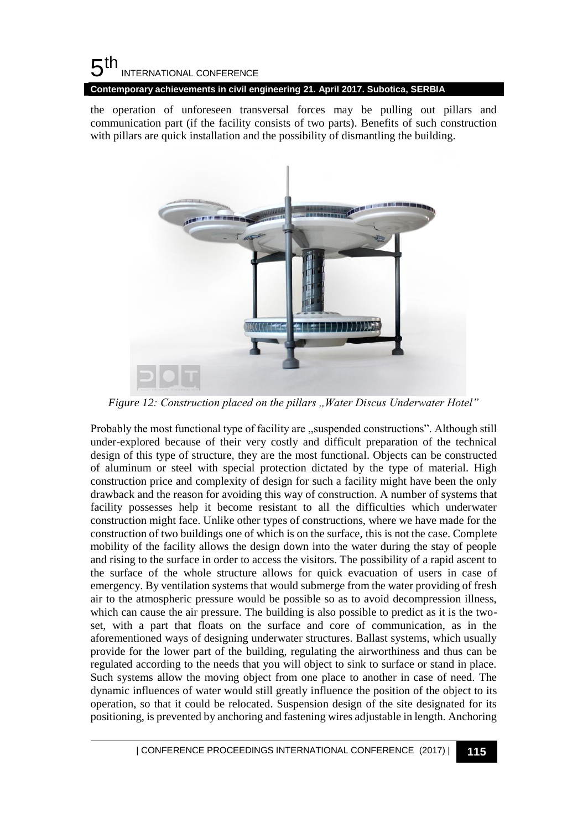**Contemporary achievements in civil engineering 21. April 2017. Subotica, SERBIA**

the operation of unforeseen transversal forces may be pulling out pillars and communication part (if the facility consists of two parts). Benefits of such construction with pillars are quick installation and the possibility of dismantling the building.



*Figure 12: Construction placed on the pillars ,,Water Discus Underwater Hotel"*

Probably the most functional type of facility are ,,suspended constructions". Although still under-explored because of their very costly and difficult preparation of the technical design of this type of structure, they are the most functional. Objects can be constructed of aluminum or steel with special protection dictated by the type of material. High construction price and complexity of design for such a facility might have been the only drawback and the reason for avoiding this way of construction. A number of systems that facility possesses help it become resistant to all the difficulties which underwater construction might face. Unlike other types of constructions, where we have made for the construction of two buildings one of which is on the surface, this is not the case. Complete mobility of the facility allows the design down into the water during the stay of people and rising to the surface in order to access the visitors. The possibility of a rapid ascent to the surface of the whole structure allows for quick evacuation of users in case of emergency. By ventilation systems that would submerge from the water providing of fresh air to the atmospheric pressure would be possible so as to avoid decompression illness, which can cause the air pressure. The building is also possible to predict as it is the twoset, with a part that floats on the surface and core of communication, as in the aforementioned ways of designing underwater structures. Ballast systems, which usually provide for the lower part of the building, regulating the airworthiness and thus can be regulated according to the needs that you will object to sink to surface or stand in place. Such systems allow the moving object from one place to another in case of need. The dynamic influences of water would still greatly influence the position of the object to its operation, so that it could be relocated. Suspension design of the site designated for its positioning, is prevented by anchoring and fastening wires adjustable in length. Anchoring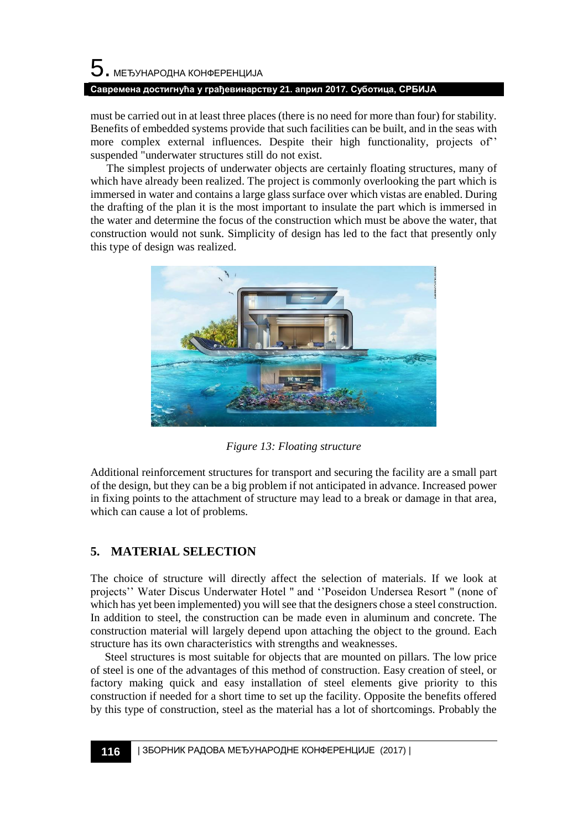# $\mathbf 5$ . међународна конференција **Савремена достигнућа у грађевинарству 21. април 2017. Суботица, СРБИЈА**

must be carried out in at least three places (there is no need for more than four) for stability. Benefits of embedded systems provide that such facilities can be built, and in the seas with more complex external influences. Despite their high functionality, projects of'' suspended "underwater structures still do not exist.

The simplest projects of underwater objects are certainly floating structures, many of which have already been realized. The project is commonly overlooking the part which is immersed in water and contains a large glass surface over which vistas are enabled. During the drafting of the plan it is the most important to insulate the part which is immersed in the water and determine the focus of the construction which must be above the water, that construction would not sunk. Simplicity of design has led to the fact that presently only this type of design was realized.



*Figure 13: Floating structure*

Additional reinforcement structures for transport and securing the facility are a small part of the design, but they can be a big problem if not anticipated in advance. Increased power in fixing points to the attachment of structure may lead to a break or damage in that area, which can cause a lot of problems.

### **5. MATERIAL SELECTION**

The choice of structure will directly affect the selection of materials. If we look at projects'' Water Discus Underwater Hotel '' and ''Poseidon Undersea Resort '' (none of which has yet been implemented) you will see that the designers chose a steel construction. In addition to steel, the construction can be made even in aluminum and concrete. The construction material will largely depend upon attaching the object to the ground. Each structure has its own characteristics with strengths and weaknesses.

 Steel structures is most suitable for objects that are mounted on pillars. The low price of steel is one of the advantages of this method of construction. Easy creation of steel, or factory making quick and easy installation of steel elements give priority to this construction if needed for a short time to set up the facility. Opposite the benefits offered by this type of construction, steel as the material has a lot of shortcomings. Probably the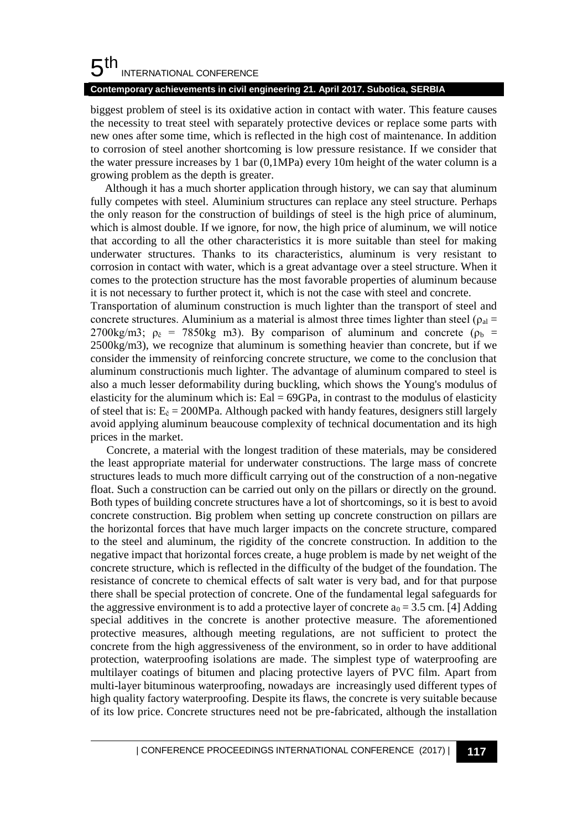### **Contemporary achievements in civil engineering 21. April 2017. Subotica, SERBIA**

biggest problem of steel is its oxidative action in contact with water. This feature causes the necessity to treat steel with separately protective devices or replace some parts with new ones after some time, which is reflected in the high cost of maintenance. In addition to corrosion of steel another shortcoming is low pressure resistance. If we consider that the water pressure increases by 1 bar (0,1MPa) every 10m height of the water column is a growing problem as the depth is greater.

 Although it has a much shorter application through history, we can say that aluminum fully competes with steel. Aluminium structures can replace any steel structure. Perhaps the only reason for the construction of buildings of steel is the high price of aluminum, which is almost double. If we ignore, for now, the high price of aluminum, we will notice that according to all the other characteristics it is more suitable than steel for making underwater structures. Thanks to its characteristics, aluminum is very resistant to corrosion in contact with water, which is a great advantage over a steel structure. When it comes to the protection structure has the most favorable properties of aluminum because it is not necessary to further protect it, which is not the case with steel and concrete.

Transportation of aluminum construction is much lighter than the transport of steel and concrete structures. Aluminium as a material is almost three times lighter than steel ( $\rho_{al}$  = 2700kg/m3;  $\rho_{\zeta}$  = 7850kg m3). By comparison of aluminum and concrete ( $\rho_{\rm b}$  = 2500kg/m3), we recognize that aluminum is something heavier than concrete, but if we consider the immensity of reinforcing concrete structure, we come to the conclusion that aluminum constructionis much lighter. The advantage of aluminum compared to steel is also a much lesser deformability during buckling, which shows the Young's modulus of elasticity for the aluminum which is: Eal  $= 69$ GPa, in contrast to the modulus of elasticity of steel that is:  $E_{\zeta} = 200 MPa$ . Although packed with handy features, designers still largely avoid applying aluminum beaucouse complexity of technical documentation and its high prices in the market.

Concrete, a material with the longest tradition of these materials, may be considered the least appropriate material for underwater constructions. The large mass of concrete structures leads to much more difficult carrying out of the construction of a non-negative float. Such a construction can be carried out only on the pillars or directly on the ground. Both types of building concrete structures have a lot of shortcomings, so it is best to avoid concrete construction. Big problem when setting up concrete construction on pillars are the horizontal forces that have much larger impacts on the concrete structure, compared to the steel and aluminum, the rigidity of the concrete construction. In addition to the negative impact that horizontal forces create, a huge problem is made by net weight of the concrete structure, which is reflected in the difficulty of the budget of the foundation. The resistance of concrete to chemical effects of salt water is very bad, and for that purpose there shall be special protection of concrete. One of the fundamental legal safeguards for the aggressive environment is to add a protective layer of concrete  $a_0 = 3.5$  cm. [4] Adding special additives in the concrete is another protective measure. The aforementioned protective measures, although meeting regulations, are not sufficient to protect the concrete from the high aggressiveness of the environment, so in order to have additional protection, waterproofing isolations are made. The simplest type of waterproofing are multilayer coatings of bitumen and placing protective layers of PVC film. Apart from multi-layer bituminous waterproofing, nowadays are increasingly used different types of high quality factory waterproofing. Despite its flaws, the concrete is very suitable because of its low price. Concrete structures need not be pre-fabricated, although the installation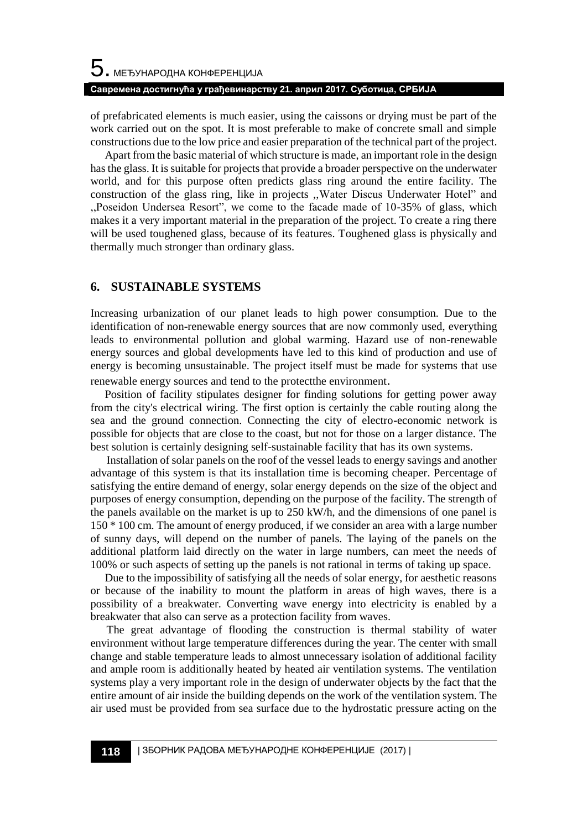of prefabricated elements is much easier, using the caissons or drying must be part of the work carried out on the spot. It is most preferable to make of concrete small and simple constructions due to the low price and easier preparation of the technical part of the project.

 Apart from the basic material of which structure is made, an important role in the design has the glass. It is suitable for projects that provide a broader perspective on the underwater world, and for this purpose often predicts glass ring around the entire facility. The construction of the glass ring, like in projects ,,Water Discus Underwater Hotel" and ,,Poseidon Undersea Resort", we come to the facade made of 10-35% of glass, which makes it a very important material in the preparation of the project. To create a ring there will be used toughened glass, because of its features. Toughened glass is physically and thermally much stronger than ordinary glass.

### **6. SUSTAINABLE SYSTEMS**

Increasing urbanization of our planet leads to high power consumption. Due to the identification of non-renewable energy sources that are now commonly used, everything leads to environmental pollution and global warming. Hazard use of non-renewable energy sources and global developments have led to this kind of production and use of energy is becoming unsustainable. The project itself must be made for systems that use renewable energy sources and tend to the protectthe environment.

 Position of facility stipulates designer for finding solutions for getting power away from the city's electrical wiring. The first option is certainly the cable routing along the sea and the ground connection. Connecting the city of electro-economic network is possible for objects that are close to the coast, but not for those on a larger distance. The best solution is certainly designing self-sustainable facility that has its own systems.

Installation of solar panels on the roof of the vessel leads to energy savings and another advantage of this system is that its installation time is becoming cheaper. Percentage of satisfying the entire demand of energy, solar energy depends on the size of the object and purposes of energy consumption, depending on the purpose of the facility. The strength of the panels available on the market is up to 250 kW/h, and the dimensions of one panel is 150 \* 100 cm. The amount of energy produced, if we consider an area with a large number of sunny days, will depend on the number of panels. The laying of the panels on the additional platform laid directly on the water in large numbers, can meet the needs of 100% or such aspects of setting up the panels is not rational in terms of taking up space.

 Due to the impossibility of satisfying all the needs of solar energy, for aesthetic reasons or because of the inability to mount the platform in areas of high waves, there is a possibility of a breakwater. Converting wave energy into electricity is enabled by a breakwater that also can serve as a protection facility from waves.

The great advantage of flooding the construction is thermal stability of water environment without large temperature differences during the year. The center with small change and stable temperature leads to almost unnecessary isolation of additional facility and ample room is additionally heated by heated air ventilation systems. The ventilation systems play a very important role in the design of underwater objects by the fact that the entire amount of air inside the building depends on the work of the ventilation system. The air used must be provided from sea surface due to the hydrostatic pressure acting on the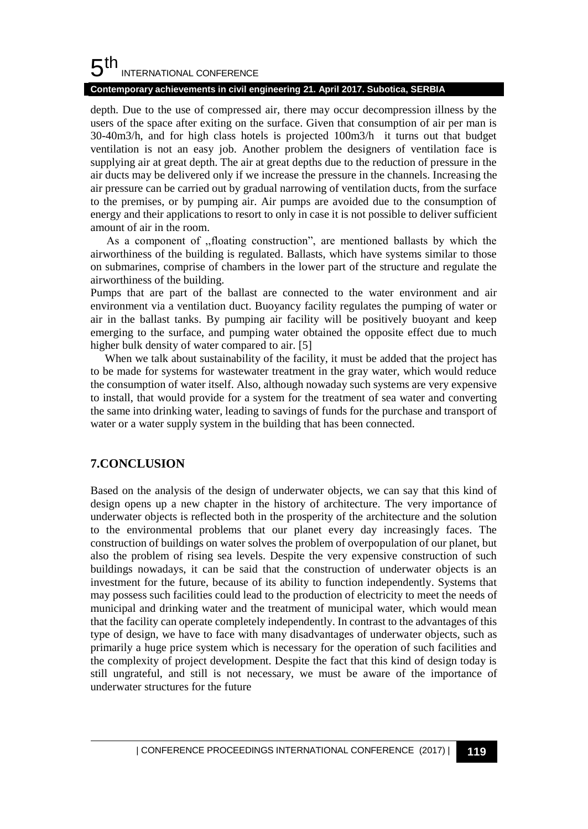### **Contemporary achievements in civil engineering 21. April 2017. Subotica, SERBIA**

depth. Due to the use of compressed air, there may occur decompression illness by the users of the space after exiting on the surface. Given that consumption of air per man is 30-40m3/h, and for high class hotels is projected 100m3/h it turns out that budget ventilation is not an easy job. Another problem the designers of ventilation face is supplying air at great depth. The air at great depths due to the reduction of pressure in the air ducts may be delivered only if we increase the pressure in the channels. Increasing the air pressure can be carried out by gradual narrowing of ventilation ducts, from the surface to the premises, or by pumping air. Air pumps are avoided due to the consumption of energy and their applications to resort to only in case it is not possible to deliver sufficient amount of air in the room.

As a component of ,,floating construction", are mentioned ballasts by which the airworthiness of the building is regulated. Ballasts, which have systems similar to those on submarines, comprise of chambers in the lower part of the structure and regulate the airworthiness of the building.

Pumps that are part of the ballast are connected to the water environment and air environment via a ventilation duct. Buoyancy facility regulates the pumping of water or air in the ballast tanks. By pumping air facility will be positively buoyant and keep emerging to the surface, and pumping water obtained the opposite effect due to much higher bulk density of water compared to air. [5]

When we talk about sustainability of the facility, it must be added that the project has to be made for systems for wastewater treatment in the gray water, which would reduce the consumption of water itself. Also, although nowaday such systems are very expensive to install, that would provide for a system for the treatment of sea water and converting the same into drinking water, leading to savings of funds for the purchase and transport of water or a water supply system in the building that has been connected.

### **7.CONCLUSION**

Based on the analysis of the design of underwater objects, we can say that this kind of design opens up a new chapter in the history of architecture. The very importance of underwater objects is reflected both in the prosperity of the architecture and the solution to the environmental problems that our planet every day increasingly faces. The construction of buildings on water solves the problem of overpopulation of our planet, but also the problem of rising sea levels. Despite the very expensive construction of such buildings nowadays, it can be said that the construction of underwater objects is an investment for the future, because of its ability to function independently. Systems that may possess such facilities could lead to the production of electricity to meet the needs of municipal and drinking water and the treatment of municipal water, which would mean that the facility can operate completely independently. In contrast to the advantages of this type of design, we have to face with many disadvantages of underwater objects, such as primarily a huge price system which is necessary for the operation of such facilities and the complexity of project development. Despite the fact that this kind of design today is still ungrateful, and still is not necessary, we must be aware of the importance of underwater structures for the future